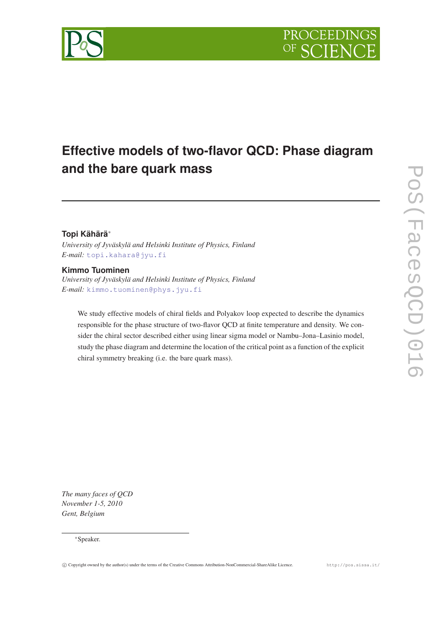

# **Effective models of two-flavor QCD: Phase diagram and the bare quark mass**

# **Topi Kähärä**<sup>∗</sup>

*University of Jyväskylä and Helsinki Institute of Physics, Finland E-mail:* [topi.kahara@jyu.fi](mailto:topi.kahara@jyu.fi)

# **Kimmo Tuominen**

*University of Jyväskylä and Helsinki Institute of Physics, Finland E-mail:* [kimmo.tuominen@phys.jyu.fi](mailto:kimmo.tuominen@phys.jyu.fi)

We study effective models of chiral fields and Polyakov loop expected to describe the dynamics responsible for the phase structure of two-flavor QCD at finite temperature and density. We consider the chiral sector described either using linear sigma model or Nambu–Jona–Lasinio model, study the phase diagram and determine the location of the critical point as a function of the explicit chiral symmetry breaking (i.e. the bare quark mass).

*The many faces of QCD November 1-5, 2010 Gent, Belgium*

### <sup>∗</sup>Speaker.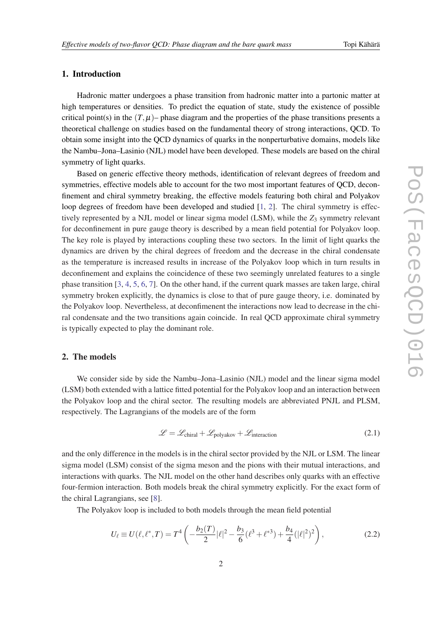# 1. Introduction

Hadronic matter undergoes a phase transition from hadronic matter into a partonic matter at high temperatures or densities. To predict the equation of state, study the existence of possible critical point(s) in the  $(T, \mu)$ – phase diagram and the properties of the phase transitions presents a theoretical challenge on studies based on the fundamental theory of strong interactions, QCD. To obtain some insight into the QCD dynamics of quarks in the nonperturbative domains, models like the Nambu–Jona–Lasinio (NJL) model have been developed. These models are based on the chiral symmetry of light quarks.

Based on generic effective theory methods, identification of relevant degrees of freedom and symmetries, effective models able to account for the two most important features of QCD, deconfinement and chiral symmetry breaking, the effective models featuring both chiral and Polyakov loop degrees of freedom have been developed and studied [[1](#page-8-0), [2](#page-8-0)]. The chiral symmetry is effectively represented by a NJL model or linear sigma model (LSM), while the  $Z_3$  symmetry relevant for deconfinement in pure gauge theory is described by a mean field potential for Polyakov loop. The key role is played by interactions coupling these two sectors. In the limit of light quarks the dynamics are driven by the chiral degrees of freedom and the decrease in the chiral condensate as the temperature is increased results in increase of the Polyakov loop which in turn results in deconfinement and explains the coincidence of these two seemingly unrelated features to a single phase transition [\[3,](#page-8-0) [4](#page-8-0), [5,](#page-8-0) [6,](#page-8-0) [7](#page-9-0)]. On the other hand, if the current quark masses are taken large, chiral symmetry broken explicitly, the dynamics is close to that of pure gauge theory, i.e. dominated by the Polyakov loop. Nevertheless, at deconfimenent the interactions now lead to decrease in the chiral condensate and the two transitions again coincide. In real QCD approximate chiral symmetry is typically expected to play the dominant role.

## 2. The models

We consider side by side the Nambu–Jona–Lasinio (NJL) model and the linear sigma model (LSM) both extended with a lattice fitted potential for the Polyakov loop and an interaction between the Polyakov loop and the chiral sector. The resulting models are abbreviated PNJL and PLSM, respectively. The Lagrangians of the models are of the form

$$
\mathcal{L} = \mathcal{L}_{\text{chiral}} + \mathcal{L}_{\text{polyakov}} + \mathcal{L}_{\text{interaction}} \tag{2.1}
$$

and the only difference in the models is in the chiral sector provided by the NJL or LSM. The linear sigma model (LSM) consist of the sigma meson and the pions with their mutual interactions, and interactions with quarks. The NJL model on the other hand describes only quarks with an effective four-fermion interaction. Both models break the chiral symmetry explicitly. For the exact form of the chiral Lagrangians, see [[8](#page-9-0)].

The Polyakov loop is included to both models through the mean field potential

$$
U_{\ell} \equiv U(\ell, \ell^*, T) = T^4 \left( -\frac{b_2(T)}{2} |\ell|^2 - \frac{b_3}{6} (\ell^3 + \ell^{*3}) + \frac{b_4}{4} (|\ell|^2)^2 \right),\tag{2.2}
$$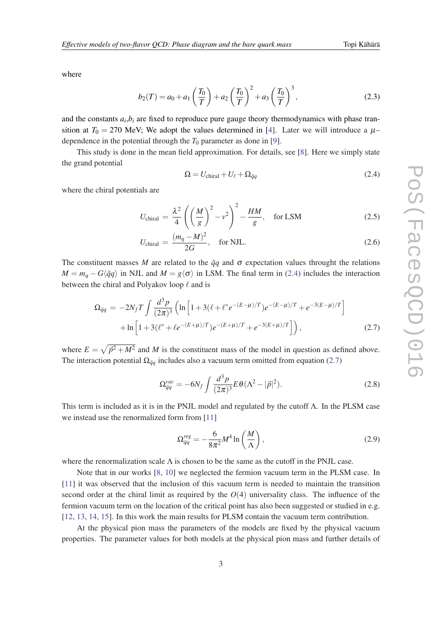<span id="page-2-0"></span>where

$$
b_2(T) = a_0 + a_1 \left(\frac{T_0}{T}\right) + a_2 \left(\frac{T_0}{T}\right)^2 + a_3 \left(\frac{T_0}{T}\right)^3, \tag{2.3}
$$

and the constants  $a_i, b_i$  are fixed to reproduce pure gauge theory thermodynamics with phase transition at  $T_0 = 270$  MeV; We adopt the values determined in [\[4\]](#page-8-0). Later we will introduce a  $\mu$ – dependence in the potential through the  $T_0$  parameter as done in [[9](#page-9-0)].

This study is done in the mean field approximation. For details, see [[8\]](#page-9-0). Here we simply state the grand potential

$$
\Omega = U_{\text{chiral}} + U_{\ell} + \Omega_{\bar{q}q} \tag{2.4}
$$

where the chiral potentials are

$$
U_{\text{chiral}} = \frac{\lambda^2}{4} \left( \left( \frac{M}{g} \right)^2 - v^2 \right)^2 - \frac{HM}{g}, \quad \text{for } \text{LSM} \tag{2.5}
$$

$$
U_{\text{chiral}} = \frac{(m_q - M)^2}{2G}, \quad \text{for NJL.} \tag{2.6}
$$

The constituent masses *M* are related to the  $\bar{q}q$  and  $\sigma$  expectation values throught the relations  $M = m_q - G\langle \bar{q}q \rangle$  in NJL and  $M = g\langle \sigma \rangle$  in LSM. The final term in (2.4) includes the interaction between the chiral and Polyakov loop  $\ell$  and is

$$
\Omega_{\bar{q}q} = -2N_f T \int \frac{d^3 p}{(2\pi)^3} \left( \ln \left[ 1 + 3(\ell + \ell^* e^{-(E-\mu)/T}) e^{-(E-\mu)/T} + e^{-3(E-\mu)/T} \right] \right. \\
\left. + \ln \left[ 1 + 3(\ell^* + \ell e^{-(E+\mu)/T}) e^{-(E+\mu)/T} + e^{-3(E+\mu)/T} \right] \right),
$$
\n(2.7)

where  $E = \sqrt{\vec{p}^2 + M^2}$  and *M* is the constituent mass of the model in question as defined above. The interaction potential  $\Omega_{\bar{q}q}$  includes also a vacuum term omitted from equation (2.7)

$$
\Omega_{\bar{q}q}^{vac} = -6N_f \int \frac{d^3 p}{(2\pi)^3} E\theta (\Lambda^2 - |\vec{p}|^2). \tag{2.8}
$$

This term is included as it is in the PNJL model and regulated by the cutoff  $\Lambda$ . In the PLSM case we instead use the renormalized form from [[11](#page-9-0)]

$$
\Omega_{\bar{q}q}^{reg} = -\frac{6}{8\pi^2} M^4 \ln\left(\frac{M}{\Lambda}\right),\tag{2.9}
$$

where the renormalization scale  $\Lambda$  is chosen to be the same as the cutoff in the PNJL case.

Note that in our works [[8](#page-9-0), [10](#page-9-0)] we neglected the fermion vacuum term in the PLSM case. In [[11\]](#page-9-0) it was observed that the inclusion of this vacuum term is needed to maintain the transition second order at the chiral limit as required by the  $O(4)$  universality class. The influence of the fermion vacuum term on the location of the critical point has also been suggested or studied in e.g. [[12,](#page-9-0) [13](#page-9-0), [14,](#page-9-0) [15\]](#page-9-0). In this work the main results for PLSM contain the vacuum term contribution.

At the physical pion mass the parameters of the models are fixed by the physical vacuum properties. The parameter values for both models at the physical pion mass and further details of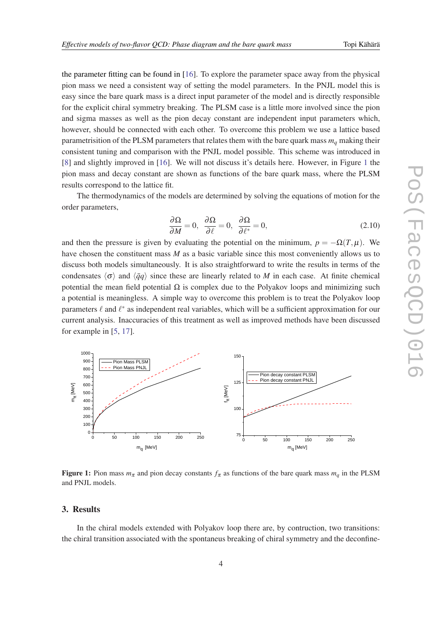the parameter fitting can be found in [\[16](#page-9-0)]. To explore the parameter space away from the physical pion mass we need a consistent way of setting the model parameters. In the PNJL model this is easy since the bare quark mass is a direct input parameter of the model and is directly responsible for the explicit chiral symmetry breaking. The PLSM case is a little more involved since the pion and sigma masses as well as the pion decay constant are independent input parameters which, however, should be connected with each other. To overcome this problem we use a lattice based parametrisition of the PLSM parameters that relates them with the bare quark mass *m<sup>q</sup>* making their consistent tuning and comparison with the PNJL model possible. This scheme was introduced in [[8](#page-9-0)] and slightly improved in [\[16](#page-9-0)]. We will not discuss it's details here. However, in Figure 1 the pion mass and decay constant are shown as functions of the bare quark mass, where the PLSM results correspond to the lattice fit.

The thermodynamics of the models are determined by solving the equations of motion for the order parameters,

$$
\frac{\partial \Omega}{\partial M} = 0, \quad \frac{\partial \Omega}{\partial \ell} = 0, \quad \frac{\partial \Omega}{\partial \ell^*} = 0,
$$
\n(2.10)

and then the pressure is given by evaluating the potential on the minimum,  $p = -\Omega(T,\mu)$ . We have chosen the constituent mass *M* as a basic variable since this most conveniently allows us to discuss both models simultaneously. It is also straightforward to write the results in terms of the condensates  $\langle \sigma \rangle$  and  $\langle \bar{q}q \rangle$  since these are linearly related to *M* in each case. At finite chemical potential the mean field potential  $\Omega$  is complex due to the Polyakov loops and minimizing such a potential is meaningless. A simple way to overcome this problem is to treat the Polyakov loop parameters  $\ell$  and  $\ell^*$  as independent real variables, which will be a sufficient approximation for our current analysis. Inaccuracies of this treatment as well as improved methods have been discussed for example in [\[5,](#page-8-0) [17\]](#page-9-0).



Figure 1: Pion mass  $m_\pi$  and pion decay constants  $f_\pi$  as functions of the bare quark mass  $m_q$  in the PLSM and PNJL models.

#### 3. Results

In the chiral models extended with Polyakov loop there are, by contruction, two transitions: the chiral transition associated with the spontaneus breaking of chiral symmetry and the deconfine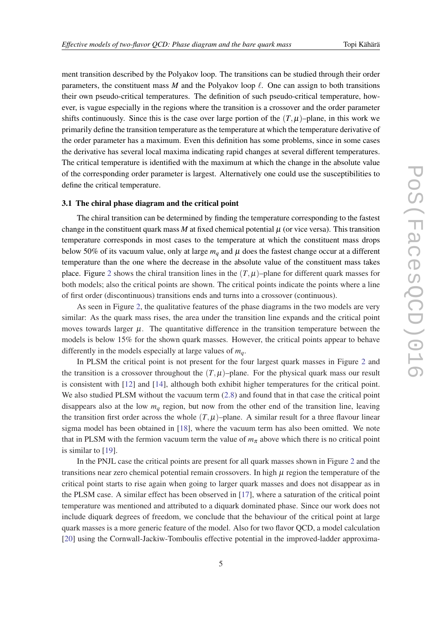ment transition described by the Polyakov loop. The transitions can be studied through their order parameters, the constituent mass *M* and the Polyakov loop  $\ell$ . One can assign to both transitions their own pseudo-critical temperatures. The definition of such pseudo-critical temperature, however, is vague especially in the regions where the transition is a crossover and the order parameter shifts continuously. Since this is the case over large portion of the  $(T, \mu)$ –plane, in this work we primarily define the transition temperature as the temperature at which the temperature derivative of the order parameter has a maximum. Even this definition has some problems, since in some cases the derivative has several local maxima indicating rapid changes at several different temperatures. The critical temperature is identified with the maximum at which the change in the absolute value of the corresponding order parameter is largest. Alternatively one could use the susceptibilities to define the critical temperature.

#### 3.1 The chiral phase diagram and the critical point

The chiral transition can be determined by finding the temperature corresponding to the fastest change in the constituent quark mass  $M$  at fixed chemical potential  $\mu$  (or vice versa). This transition temperature corresponds in most cases to the temperature at which the constituent mass drops below 50% of its vacuum value, only at large  $m_q$  and  $\mu$  does the fastest change occur at a different temperature than the one where the decrease in the absolute value of the constituent mass takes place. Figure [2](#page-5-0) shows the chiral transition lines in the  $(T, \mu)$ –plane for different quark masses for both models; also the critical points are shown. The critical points indicate the points where a line of first order (discontinuous) transitions ends and turns into a crossover (continuous).

As seen in Figure [2](#page-5-0), the qualitative features of the phase diagrams in the two models are very similar: As the quark mass rises, the area under the transition line expands and the critical point moves towards larger  $\mu$ . The quantitative difference in the transition temperature between the models is below 15% for the shown quark masses. However, the critical points appear to behave differently in the models especially at large values of *mq*.

In PLSM the critical point is not present for the four largest quark masses in Figure [2](#page-5-0) and the transition is a crossover throughout the  $(T, \mu)$ –plane. For the physical quark mass our result is consistent with [[12\]](#page-9-0) and [[14\]](#page-9-0), although both exhibit higher temperatures for the critical point. We also studied PLSM without the vacuum term  $(2.8)$  and found that in that case the critical point disappears also at the low  $m_q$  region, but now from the other end of the transition line, leaving the transition first order across the whole  $(T, \mu)$ –plane. A similar result for a three flavour linear sigma model has been obtained in [\[18\]](#page-9-0), where the vacuum term has also been omitted. We note that in PLSM with the fermion vacuum term the value of  $m<sub>\pi</sub>$  above which there is no critical point is similar to [\[19](#page-9-0)].

In the PNJL case the critical points are present for all quark masses shown in Figure [2](#page-5-0) and the transitions near zero chemical potential remain crossovers. In high  $\mu$  region the temperature of the critical point starts to rise again when going to larger quark masses and does not disappear as in the PLSM case. A similar effect has been observed in [\[17](#page-9-0)], where a saturation of the critical point temperature was mentioned and attributed to a diquark dominated phase. Since our work does not include diquark degrees of freedom, we conclude that the behaviour of the critical point at large quark masses is a more generic feature of the model. Also for two flavor QCD, a model calculation [[20\]](#page-9-0) using the Cornwall-Jackiw-Tomboulis effective potential in the improved-ladder approxima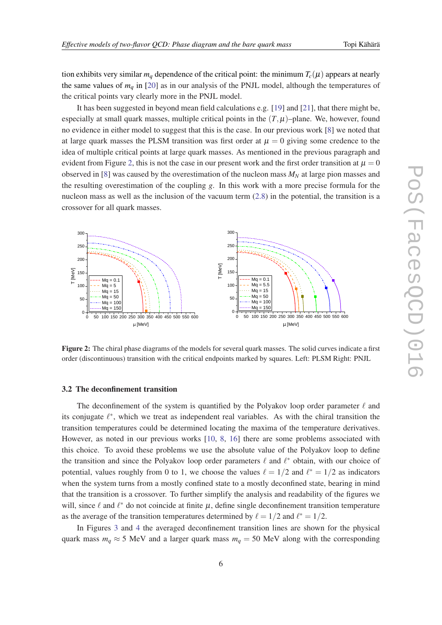<span id="page-5-0"></span>tion exhibits very similar  $m_q$  dependence of the critical point: the minimum  $T_c(\mu)$  appears at nearly the same values of  $m_q$  in [[20\]](#page-9-0) as in our analysis of the PNJL model, although the temperatures of the critical points vary clearly more in the PNJL model.

It has been suggested in beyond mean field calculations e.g. [\[19](#page-9-0)] and [\[21\]](#page-9-0), that there might be, especially at small quark masses, multiple critical points in the  $(T, \mu)$ –plane. We, however, found no evidence in either model to suggest that this is the case. In our previous work [\[8\]](#page-9-0) we noted that at large quark masses the PLSM transition was first order at  $\mu = 0$  giving some credence to the idea of multiple critical points at large quark masses. As mentioned in the previous paragraph and evident from Figure 2, this is not the case in our present work and the first order transition at  $\mu = 0$ observed in [[8](#page-9-0)] was caused by the overestimation of the nucleon mass *M<sup>N</sup>* at large pion masses and the resulting overestimation of the coupling *g*. In this work with a more precise formula for the nucleon mass as well as the inclusion of the vacuum term ([2.8](#page-2-0)) in the potential, the transition is a crossover for all quark masses.



Figure 2: The chiral phase diagrams of the models for several quark masses. The solid curves indicate a first order (discontinuous) transition with the critical endpoints marked by squares. Left: PLSM Right: PNJL

#### 3.2 The deconfinement transition

The deconfinement of the system is quantified by the Polyakov loop order parameter  $\ell$  and its conjugate  $\ell^*$ , which we treat as independent real variables. As with the chiral transition the transition temperatures could be determined locating the maxima of the temperature derivatives. However, as noted in our previous works [[10,](#page-9-0) [8](#page-9-0), [16\]](#page-9-0) there are some problems associated with this choice. To avoid these problems we use the absolute value of the Polyakov loop to define the transition and since the Polyakov loop order parameters  $\ell$  and  $\ell^*$  obtain, with our choice of potential, values roughly from 0 to 1, we choose the values  $\ell = 1/2$  and  $\ell^* = 1/2$  as indicators when the system turns from a mostly confined state to a mostly deconfined state, bearing in mind that the transition is a crossover. To further simplify the analysis and readability of the figures we will, since  $\ell$  and  $\ell^*$  do not coincide at finite  $\mu$ , define single deconfinement transition temperature as the average of the transition temperatures determined by  $\ell = 1/2$  and  $\ell^* = 1/2$ .

In Figures [3](#page-6-0) and [4](#page-6-0) the averaged deconfinement transition lines are shown for the physical quark mass  $m_q \approx 5$  MeV and a larger quark mass  $m_q = 50$  MeV along with the corresponding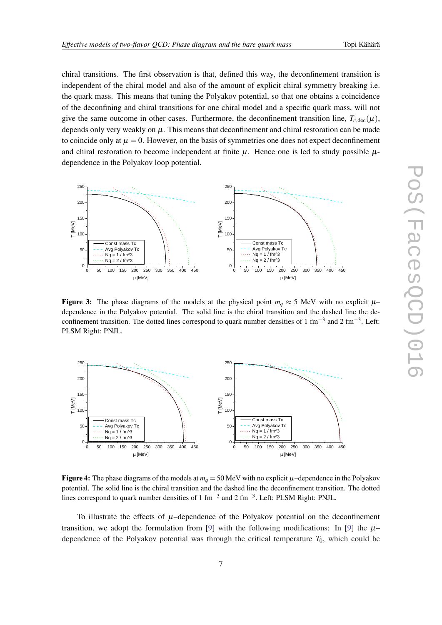<span id="page-6-0"></span>chiral transitions. The first observation is that, defined this way, the deconfinement transition is independent of the chiral model and also of the amount of explicit chiral symmetry breaking i.e. the quark mass. This means that tuning the Polyakov potential, so that one obtains a coincidence of the deconfining and chiral transitions for one chiral model and a specific quark mass, will not give the same outcome in other cases. Furthermore, the deconfinement transition line,  $T_{c,\text{dec}}(\mu)$ , depends only very weakly on  $\mu$ . This means that deconfinement and chiral restoration can be made to coincide only at  $\mu = 0$ . However, on the basis of symmetries one does not expect deconfinement and chiral restoration to become independent at finite  $\mu$ . Hence one is led to study possible  $\mu$ dependence in the Polyakov loop potential.



Figure 3: The phase diagrams of the models at the physical point  $m_q \approx 5$  MeV with no explicit  $\mu$ – dependence in the Polyakov potential. The solid line is the chiral transition and the dashed line the deconfinement transition. The dotted lines correspond to quark number densities of 1 fm<sup>-3</sup> and 2 fm<sup>-3</sup>. Left: PLSM Right: PNJL.



Figure 4: The phase diagrams of the models at  $m_q = 50$  MeV with no explicit  $\mu$ –dependence in the Polyakov potential. The solid line is the chiral transition and the dashed line the deconfinement transition. The dotted lines correspond to quark number densities of 1 fm<sup>-3</sup> and 2 fm<sup>-3</sup>. Left: PLSM Right: PNJL.

To illustrate the effects of  $\mu$ –dependence of the Polyakov potential on the deconfinement transition, we adopt the formulation from [\[9\]](#page-9-0) with the following modifications: In [[9](#page-9-0)] the  $\mu$ dependence of the Polyakov potential was through the critical temperature  $T_0$ , which could be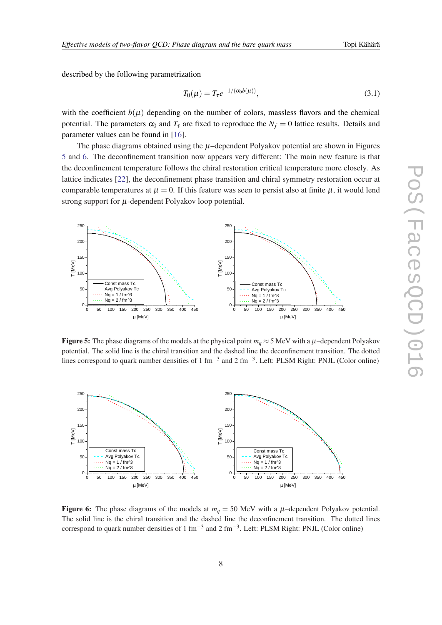described by the following parametrization

200

250

$$
T_0(\mu) = T_\tau e^{-1/(\alpha_0 b(\mu))},\tag{3.1}
$$

with the coefficient  $b(\mu)$  depending on the number of colors, massless flavors and the chemical potential. The parameters  $\alpha_0$  and  $T_\tau$  are fixed to reproduce the  $N_f = 0$  lattice results. Details and parameter values can be found in [[16\]](#page-9-0).

The phase diagrams obtained using the  $\mu$ –dependent Polyakov potential are shown in Figures 5 and 6. The deconfinement transition now appears very different: The main new feature is that the deconfinement temperature follows the chiral restoration critical temperature more closely. As lattice indicates [\[22](#page-9-0)], the deconfinement phase transition and chiral symmetry restoration occur at comparable temperatures at  $\mu = 0$ . If this feature was seen to persist also at finite  $\mu$ , it would lend strong support for  $\mu$ -dependent Polyakov loop potential.

200

250

0 50 1 00 1 50 200 250 300 350 400 450  $0 + \overline{\phantom{a}}$  $50 - -$  Avg Polyakov Tc  $\mathcal{C}$ 100 150 Const mass Tc  $Na = 1 / fm^{3}$  $Nq = 2 / fm$ <sup>2</sup>  $\vdash$  $\sum_{k=1}^{\infty} 100 \sum\limits_{\mathfrak{G}}$  i µ [MeV] 0 50 1 00 1 50 200 250 300 350 400 450  $0 +$   $50 - -$  Avg Polyakov Tc  $\begin{bmatrix} 50 \\ -1 \end{bmatrix}$ 100 150  $\vdash$  $\sum_{100}$  - $\sum\limits_{\mathfrak{G}}$ µ [MeV] Const mass Tc  $Nq = 1 / fm \sim$ 3  $Nq = 2 / fm$ **Figure 5:** The phase diagrams of the models at the physical point  $m_q \approx 5$  MeV with a  $\mu$ –dependent Polyakov

potential. The solid line is the chiral transition and the dashed line the deconfinement transition. The dotted lines correspond to quark number densities of 1 fm<sup>-3</sup> and 2 fm<sup>-3</sup>. Left: PLSM Right: PNJL (Color online)



Figure 6: The phase diagrams of the models at  $m_q = 50$  MeV with a  $\mu$ -dependent Polyakov potential. The solid line is the chiral transition and the dashed line the deconfinement transition. The dotted lines correspond to quark number densities of 1 fm<sup>-3</sup> and 2 fm<sup>-3</sup>. Left: PLSM Right: PNJL (Color online)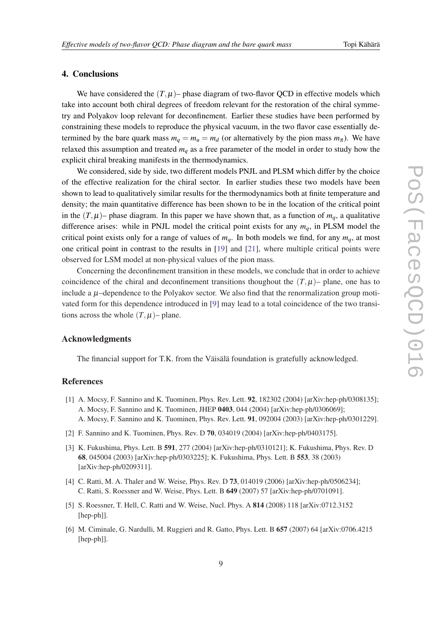#### <span id="page-8-0"></span>4. Conclusions

We have considered the  $(T, \mu)$ – phase diagram of two-flavor QCD in effective models which take into account both chiral degrees of freedom relevant for the restoration of the chiral symmetry and Polyakov loop relevant for deconfinement. Earlier these studies have been performed by constraining these models to reproduce the physical vacuum, in the two flavor case essentially determined by the bare quark mass  $m_q = m_u = m_d$  (or alternatively by the pion mass  $m_\pi$ ). We have relaxed this assumption and treated  $m_q$  as a free parameter of the model in order to study how the explicit chiral breaking manifests in the thermodynamics.

We considered, side by side, two different models PNJL and PLSM which differ by the choice of the effective realization for the chiral sector. In earlier studies these two models have been shown to lead to qualitatively similar results for the thermodynamics both at finite temperature and density; the main quantitative difference has been shown to be in the location of the critical point in the  $(T, \mu)$ – phase diagram. In this paper we have shown that, as a function of  $m_q$ , a qualitative difference arises: while in PNJL model the critical point exists for any *mq*, in PLSM model the critical point exists only for a range of values of  $m_q$ . In both models we find, for any  $m_q$ , at most one critical point in contrast to the results in [\[19](#page-9-0)] and [[21\]](#page-9-0), where multiple critical points were observed for LSM model at non-physical values of the pion mass.

Concerning the deconfinement transition in these models, we conclude that in order to achieve coincidence of the chiral and deconfinement transitions thoughout the  $(T, \mu)$ – plane, one has to include a  $\mu$ –dependence to the Polyakov sector. We also find that the renormalization group motivated form for this dependence introduced in [\[9\]](#page-9-0) may lead to a total coincidence of the two transitions across the whole  $(T, \mu)$ – plane.

#### Acknowledgments

The financial support for T.K. from the Väisälä foundation is gratefully acknowledged.

### References

- [1] A. Mocsy, F. Sannino and K. Tuominen, Phys. Rev. Lett. **92**, 182302 (2004) [arXiv:hep-ph/0308135]; A. Mocsy, F. Sannino and K. Tuominen, JHEP 0403, 044 (2004) [arXiv:hep-ph/0306069]; A. Mocsy, F. Sannino and K. Tuominen, Phys. Rev. Lett. 91, 092004 (2003) [arXiv:hep-ph/0301229].
- [2] F. Sannino and K. Tuominen, Phys. Rev. D 70, 034019 (2004) [arXiv:hep-ph/0403175].
- [3] K. Fukushima, Phys. Lett. B 591, 277 (2004) [arXiv:hep-ph/0310121]; K. Fukushima, Phys. Rev. D 68, 045004 (2003) [arXiv:hep-ph/0303225]; K. Fukushima, Phys. Lett. B 553, 38 (2003) [arXiv:hep-ph/0209311].
- [4] C. Ratti, M. A. Thaler and W. Weise, Phys. Rev. D 73, 014019 (2006) [arXiv:hep-ph/0506234]; C. Ratti, S. Roessner and W. Weise, Phys. Lett. B 649 (2007) 57 [arXiv:hep-ph/0701091].
- [5] S. Roessner, T. Hell, C. Ratti and W. Weise, Nucl. Phys. A 814 (2008) 118 [arXiv:0712.3152 [hep-ph]].
- [6] M. Ciminale, G. Nardulli, M. Ruggieri and R. Gatto, Phys. Lett. B 657 (2007) 64 [arXiv:0706.4215 [hep-ph]].